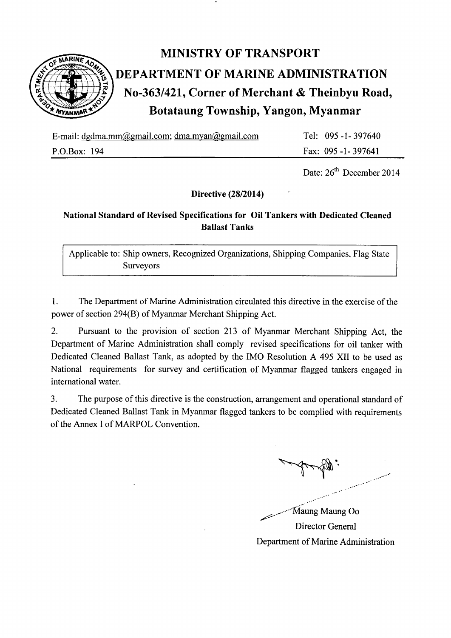

# MINISTRY OF TRANSPORT DEPARTMENT OF MARINE ADMINISTRATION No-363/421, Corner of Merchant & Theinbyu Road, Botataung Township, Yangon, Myanmar

E-mail: dgdma.mm@gmail.com; dma.myan@gmail.com

P.O.Box: 194

Tel: 095 -1- 397640 Fax: 095 -l-397641

Date:  $26<sup>th</sup>$  December 2014

Directive (28/2014)

## National Standard of Revised Specifications for Oil Tankers with Dedicated Cleaned Ballast Tanks

Applicable to: Ship owners, Recognized Organizations, Shipping Companies, Flag State Surveyors

1. The Department of Marine Administration circulated this directive in the exercise of the power of section 294(8) of Myanmar Merchant Shipping Act.

2. Pursuant to the provision of section 213 of Myanmar Merchant Shipping Act, the Department of Marine Administration shall comply revised specifications for oil tanker with Dedicated Cleaned Ballast Tank, as adopted by the IMO Resolution A 495 XII to be used as National requirements for survey and certification of Myanmar flagged tankers engaged in international water.

3. The purpose of this directive is the construction, arrangement and operational standard of Dedicated Cleaned Ballast Tank in Myanmar flagged tankers to be complied with requirements of the Annex I of MARPOL Convention.

 $\cdot$ 

- ..--- Maung Maung Oo //z Director General Department of Marine Administration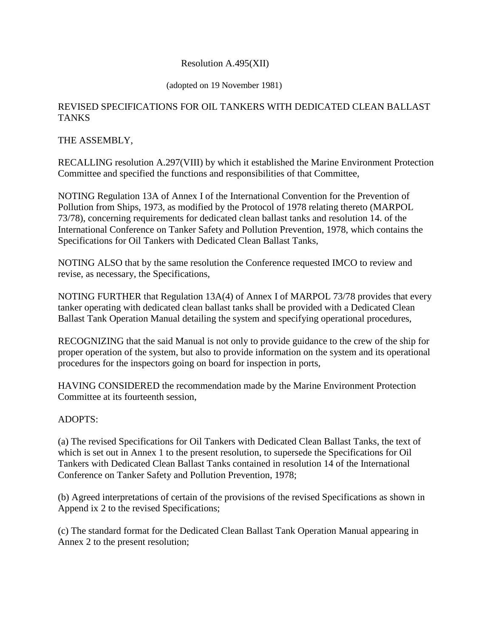#### Resolution A.495(XII)

#### (adopted on 19 November 1981)

#### REVISED SPECIFICATIONS FOR OIL TANKERS WITH DEDICATED CLEAN BALLAST **TANKS**

#### THE ASSEMBLY,

RECALLING resolution A.297(VIII) by which it established the Marine Environment Protection Committee and specified the functions and responsibilities of that Committee,

NOTING Regulation 13A of Annex I of the International Convention for the Prevention of Pollution from Ships, 1973, as modified by the Protocol of 1978 relating thereto (MARPOL 73/78), concerning requirements for dedicated clean ballast tanks and resolution 14. of the International Conference on Tanker Safety and Pollution Prevention, 1978, which contains the Specifications for Oil Tankers with Dedicated Clean Ballast Tanks,

NOTING ALSO that by the same resolution the Conference requested IMCO to review and revise, as necessary, the Specifications,

NOTING FURTHER that Regulation 13A(4) of Annex I of MARPOL 73/78 provides that every tanker operating with dedicated clean ballast tanks shall be provided with a Dedicated Clean Ballast Tank Operation Manual detailing the system and specifying operational procedures,

RECOGNIZING that the said Manual is not only to provide guidance to the crew of the ship for proper operation of the system, but also to provide information on the system and its operational procedures for the inspectors going on board for inspection in ports,

HAVING CONSIDERED the recommendation made by the Marine Environment Protection Committee at its fourteenth session,

### ADOPTS:

(a) The revised Specifications for Oil Tankers with Dedicated Clean Ballast Tanks, the text of which is set out in Annex 1 to the present resolution, to supersede the Specifications for Oil Tankers with Dedicated Clean Ballast Tanks contained in resolution 14 of the International Conference on Tanker Safety and Pollution Prevention, 1978;

(b) Agreed interpretations of certain of the provisions of the revised Specifications as shown in Append ix 2 to the revised Specifications;

(c) The standard format for the Dedicated Clean Ballast Tank Operation Manual appearing in Annex 2 to the present resolution;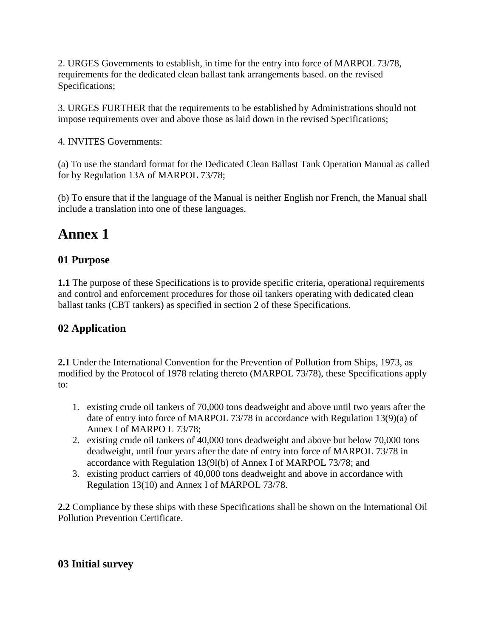2. URGES Governments to establish, in time for the entry into force of MARPOL 73/78, requirements for the dedicated clean ballast tank arrangements based. on the revised Specifications;

3. URGES FURTHER that the requirements to be established by Administrations should not impose requirements over and above those as laid down in the revised Specifications;

4. INVITES Governments:

(a) To use the standard format for the Dedicated Clean Ballast Tank Operation Manual as called for by Regulation 13A of MARPOL 73/78;

(b) To ensure that if the language of the Manual is neither English nor French, the Manual shall include a translation into one of these languages.

# **Annex 1**

# **01 Purpose**

**1.1** The purpose of these Specifications is to provide specific criteria, operational requirements and control and enforcement procedures for those oil tankers operating with dedicated clean ballast tanks (CBT tankers) as specified in section 2 of these Specifications.

# **02 Application**

**2.1** Under the International Convention for the Prevention of Pollution from Ships, 1973, as modified by the Protocol of 1978 relating thereto (MARPOL 73/78), these Specifications apply to:

- 1. existing crude oil tankers of 70,000 tons deadweight and above until two years after the date of entry into force of MARPOL 73/78 in accordance with Regulation 13(9)(a) of Annex I of MARPO L 73/78;
- 2. existing crude oil tankers of 40,000 tons deadweight and above but below 70,000 tons deadweight, until four years after the date of entry into force of MARPOL 73/78 in accordance with Regulation 13(9l(b) of Annex I of MARPOL 73/78; and
- 3. existing product carriers of 40,000 tons deadweight and above in accordance with Regulation 13(10) and Annex I of MARPOL 73/78.

**2.2** Compliance by these ships with these Specifications shall be shown on the International Oil Pollution Prevention Certificate.

# **03 Initial survey**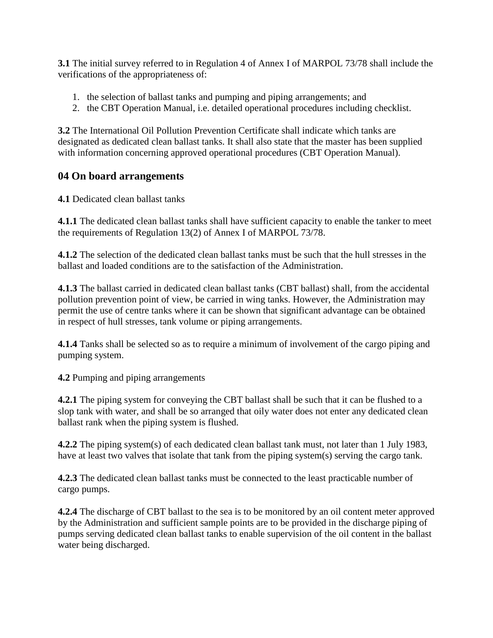**3.1** The initial survey referred to in Regulation 4 of Annex I of MARPOL 73/78 shall include the verifications of the appropriateness of:

- 1. the selection of ballast tanks and pumping and piping arrangements; and
- 2. the CBT Operation Manual, i.e. detailed operational procedures including checklist.

**3.2** The International Oil Pollution Prevention Certificate shall indicate which tanks are designated as dedicated clean ballast tanks. It shall also state that the master has been supplied with information concerning approved operational procedures (CBT Operation Manual).

# **04 On board arrangements**

**4.1** Dedicated clean ballast tanks

**4.1.1** The dedicated clean ballast tanks shall have sufficient capacity to enable the tanker to meet the requirements of Regulation 13(2) of Annex I of MARPOL 73/78.

**4.1.2** The selection of the dedicated clean ballast tanks must be such that the hull stresses in the ballast and loaded conditions are to the satisfaction of the Administration.

**4.1.3** The ballast carried in dedicated clean ballast tanks (CBT ballast) shall, from the accidental pollution prevention point of view, be carried in wing tanks. However, the Administration may permit the use of centre tanks where it can be shown that significant advantage can be obtained in respect of hull stresses, tank volume or piping arrangements.

**4.1.4** Tanks shall be selected so as to require a minimum of involvement of the cargo piping and pumping system.

**4.2** Pumping and piping arrangements

**4.2.1** The piping system for conveying the CBT ballast shall be such that it can be flushed to a slop tank with water, and shall be so arranged that oily water does not enter any dedicated clean ballast rank when the piping system is flushed.

**4.2.2** The piping system(s) of each dedicated clean ballast tank must, not later than 1 July 1983, have at least two valves that isolate that tank from the piping system(s) serving the cargo tank.

**4.2.3** The dedicated clean ballast tanks must be connected to the least practicable number of cargo pumps.

**4.2.4** The discharge of CBT ballast to the sea is to be monitored by an oil content meter approved by the Administration and sufficient sample points are to be provided in the discharge piping of pumps serving dedicated clean ballast tanks to enable supervision of the oil content in the ballast water being discharged.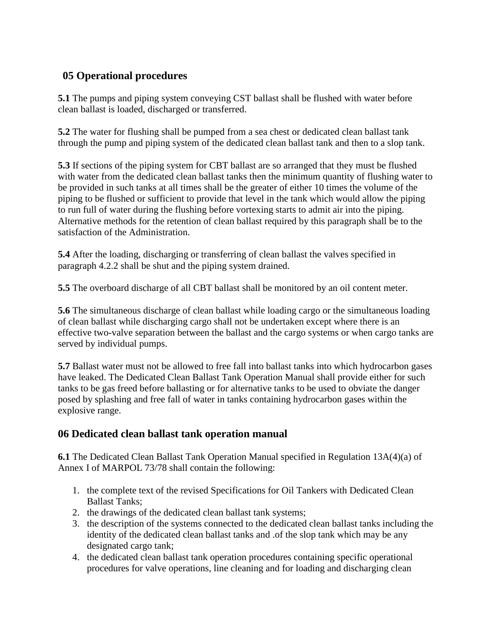# **05 Operational procedures**

**5.1** The pumps and piping system conveying CST ballast shall be flushed with water before clean ballast is loaded, discharged or transferred.

**5.2** The water for flushing shall be pumped from a sea chest or dedicated clean ballast tank through the pump and piping system of the dedicated clean ballast tank and then to a slop tank.

**5.3** If sections of the piping system for CBT ballast are so arranged that they must be flushed with water from the dedicated clean ballast tanks then the minimum quantity of flushing water to be provided in such tanks at all times shall be the greater of either 10 times the volume of the piping to be flushed or sufficient to provide that level in the tank which would allow the piping to run full of water during the flushing before vortexing starts to admit air into the piping. Alternative methods for the retention of clean ballast required by this paragraph shall be to the satisfaction of the Administration.

**5.4** After the loading, discharging or transferring of clean ballast the valves specified in paragraph 4.2.2 shall be shut and the piping system drained.

**5.5** The overboard discharge of all CBT ballast shall be monitored by an oil content meter.

**5.6** The simultaneous discharge of clean ballast while loading cargo or the simultaneous loading of clean ballast while discharging cargo shall not be undertaken except where there is an effective two-valve separation between the ballast and the cargo systems or when cargo tanks are served by individual pumps.

**5.7** Ballast water must not be allowed to free fall into ballast tanks into which hydrocarbon gases have leaked. The Dedicated Clean Ballast Tank Operation Manual shall provide either for such tanks to be gas freed before ballasting or for alternative tanks to be used to obviate the danger posed by splashing and free fall of water in tanks containing hydrocarbon gases within the explosive range.

## **06 Dedicated clean ballast tank operation manual**

**6.1** The Dedicated Clean Ballast Tank Operation Manual specified in Regulation 13A(4)(a) of Annex I of MARPOL 73/78 shall contain the following:

- 1. the complete text of the revised Specifications for Oil Tankers with Dedicated Clean Ballast Tanks;
- 2. the drawings of the dedicated clean ballast tank systems;
- 3. the description of the systems connected to the dedicated clean ballast tanks including the identity of the dedicated clean ballast tanks and .of the slop tank which may be any designated cargo tank;
- 4. the dedicated clean ballast tank operation procedures containing specific operational procedures for valve operations, line cleaning and for loading and discharging clean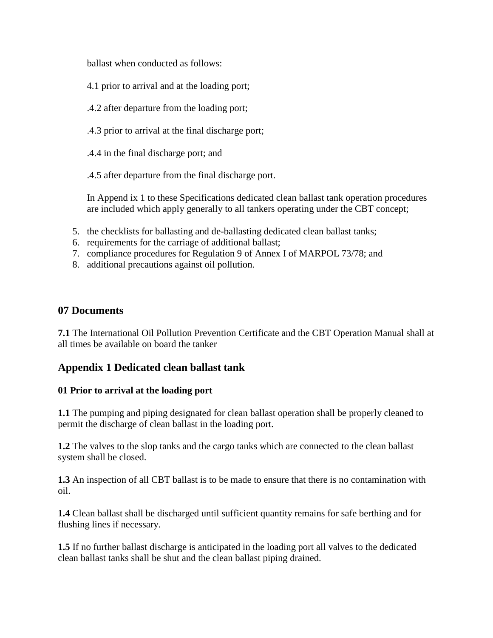ballast when conducted as follows:

- 4.1 prior to arrival and at the loading port;
- .4.2 after departure from the loading port;
- .4.3 prior to arrival at the final discharge port;
- .4.4 in the final discharge port; and

.4.5 after departure from the final discharge port.

In Append ix 1 to these Specifications dedicated clean ballast tank operation procedures are included which apply generally to all tankers operating under the CBT concept;

- 5. the checklists for ballasting and de-ballasting dedicated clean ballast tanks;
- 6. requirements for the carriage of additional ballast;
- 7. compliance procedures for Regulation 9 of Annex I of MARPOL 73/78; and
- 8. additional precautions against oil pollution.

## **07 Documents**

**7.1** The International Oil Pollution Prevention Certificate and the CBT Operation Manual shall at all times be available on board the tanker

# **Appendix 1 Dedicated clean ballast tank**

### **01 Prior to arrival at the loading port**

**1.1** The pumping and piping designated for clean ballast operation shall be properly cleaned to permit the discharge of clean ballast in the loading port.

**1.2** The valves to the slop tanks and the cargo tanks which are connected to the clean ballast system shall be closed.

**1.3** An inspection of all CBT ballast is to be made to ensure that there is no contamination with oil.

**1.4** Clean ballast shall be discharged until sufficient quantity remains for safe berthing and for flushing lines if necessary.

**1.5** If no further ballast discharge is anticipated in the loading port all valves to the dedicated clean ballast tanks shall be shut and the clean ballast piping drained.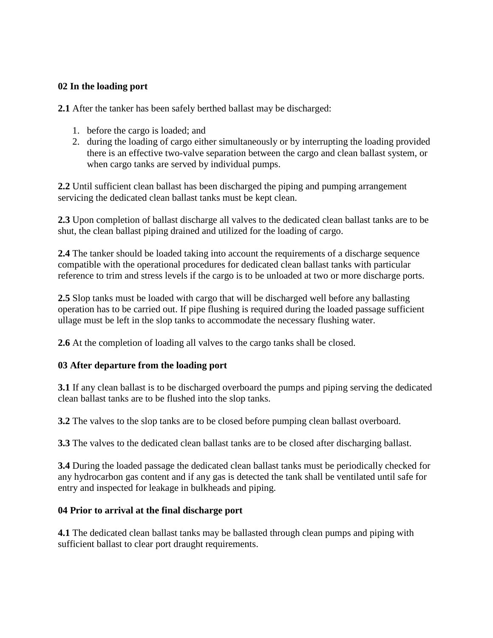### **02 In the loading port**

**2.1** After the tanker has been safely berthed ballast may be discharged:

- 1. before the cargo is loaded; and
- 2. during the loading of cargo either simultaneously or by interrupting the loading provided there is an effective two-valve separation between the cargo and clean ballast system, or when cargo tanks are served by individual pumps.

**2.2** Until sufficient clean ballast has been discharged the piping and pumping arrangement servicing the dedicated clean ballast tanks must be kept clean.

**2.3** Upon completion of ballast discharge all valves to the dedicated clean ballast tanks are to be shut, the clean ballast piping drained and utilized for the loading of cargo.

**2.4** The tanker should be loaded taking into account the requirements of a discharge sequence compatible with the operational procedures for dedicated clean ballast tanks with particular reference to trim and stress levels if the cargo is to be unloaded at two or more discharge ports.

**2.5** Slop tanks must be loaded with cargo that will be discharged well before any ballasting operation has to be carried out. If pipe flushing is required during the loaded passage sufficient ullage must be left in the slop tanks to accommodate the necessary flushing water.

**2.6** At the completion of loading all valves to the cargo tanks shall be closed.

### **03 After departure from the loading port**

**3.1** If any clean ballast is to be discharged overboard the pumps and piping serving the dedicated clean ballast tanks are to be flushed into the slop tanks.

**3.2** The valves to the slop tanks are to be closed before pumping clean ballast overboard.

**3.3** The valves to the dedicated clean ballast tanks are to be closed after discharging ballast.

**3.4** During the loaded passage the dedicated clean ballast tanks must be periodically checked for any hydrocarbon gas content and if any gas is detected the tank shall be ventilated until safe for entry and inspected for leakage in bulkheads and piping.

#### **04 Prior to arrival at the final discharge port**

**4.1** The dedicated clean ballast tanks may be ballasted through clean pumps and piping with sufficient ballast to clear port draught requirements.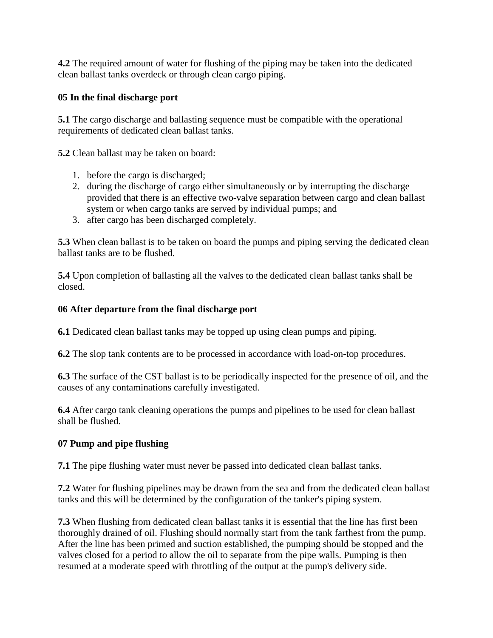**4.2** The required amount of water for flushing of the piping may be taken into the dedicated clean ballast tanks overdeck or through clean cargo piping.

## **05 In the final discharge port**

**5.1** The cargo discharge and ballasting sequence must be compatible with the operational requirements of dedicated clean ballast tanks.

**5.2** Clean ballast may be taken on board:

- 1. before the cargo is discharged;
- 2. during the discharge of cargo either simultaneously or by interrupting the discharge provided that there is an effective two-valve separation between cargo and clean ballast system or when cargo tanks are served by individual pumps; and
- 3. after cargo has been discharged completely.

**5.3** When clean ballast is to be taken on board the pumps and piping serving the dedicated clean ballast tanks are to be flushed.

**5.4** Upon completion of ballasting all the valves to the dedicated clean ballast tanks shall be closed.

### **06 After departure from the final discharge port**

**6.1** Dedicated clean ballast tanks may be topped up using clean pumps and piping.

**6.2** The slop tank contents are to be processed in accordance with load-on-top procedures.

**6.3** The surface of the CST ballast is to be periodically inspected for the presence of oil, and the causes of any contaminations carefully investigated.

**6.4** After cargo tank cleaning operations the pumps and pipelines to be used for clean ballast shall be flushed.

## **07 Pump and pipe flushing**

**7.1** The pipe flushing water must never be passed into dedicated clean ballast tanks.

**7.2** Water for flushing pipelines may be drawn from the sea and from the dedicated clean ballast tanks and this will be determined by the configuration of the tanker's piping system.

**7.3** When flushing from dedicated clean ballast tanks it is essential that the line has first been thoroughly drained of oil. Flushing should normally start from the tank farthest from the pump. After the line has been primed and suction established, the pumping should be stopped and the valves closed for a period to allow the oil to separate from the pipe walls. Pumping is then resumed at a moderate speed with throttling of the output at the pump's delivery side.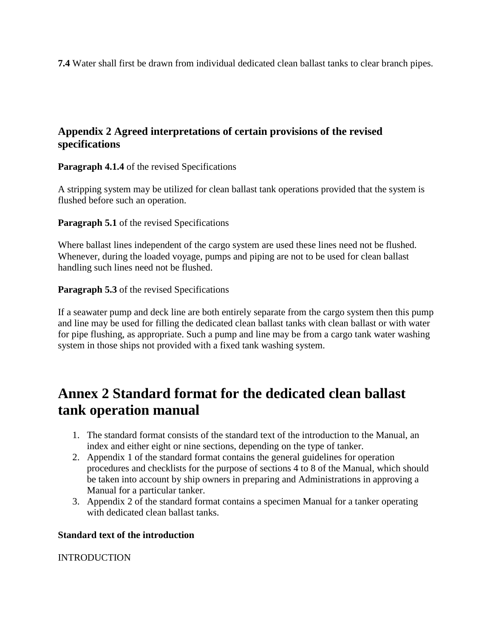**7.4** Water shall first be drawn from individual dedicated clean ballast tanks to clear branch pipes.

## **Appendix 2 Agreed interpretations of certain provisions of the revised specifications**

**Paragraph 4.1.4** of the revised Specifications

A stripping system may be utilized for clean ballast tank operations provided that the system is flushed before such an operation.

**Paragraph 5.1** of the revised Specifications

Where ballast lines independent of the cargo system are used these lines need not be flushed. Whenever, during the loaded voyage, pumps and piping are not to be used for clean ballast handling such lines need not be flushed.

**Paragraph 5.3** of the revised Specifications

If a seawater pump and deck line are both entirely separate from the cargo system then this pump and line may be used for filling the dedicated clean ballast tanks with clean ballast or with water for pipe flushing, as appropriate. Such a pump and line may be from a cargo tank water washing system in those ships not provided with a fixed tank washing system.

# **Annex 2 Standard format for the dedicated clean ballast tank operation manual**

- 1. The standard format consists of the standard text of the introduction to the Manual, an index and either eight or nine sections, depending on the type of tanker.
- 2. Appendix 1 of the standard format contains the general guidelines for operation procedures and checklists for the purpose of sections 4 to 8 of the Manual, which should be taken into account by ship owners in preparing and Administrations in approving a Manual for a particular tanker.
- 3. Appendix 2 of the standard format contains a specimen Manual for a tanker operating with dedicated clean ballast tanks.

## **Standard text of the introduction**

INTRODUCTION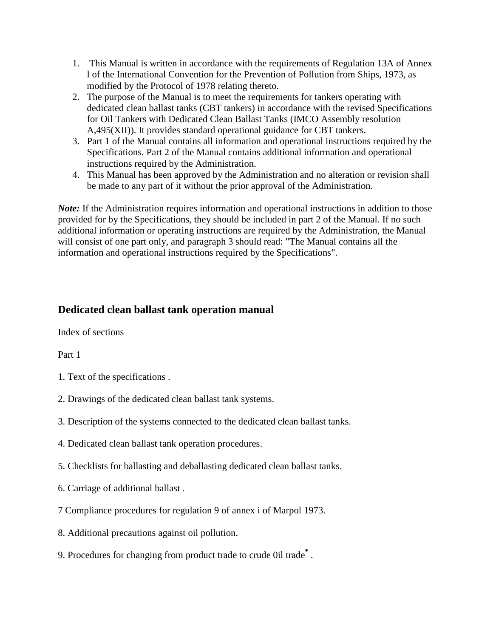- 1. This Manual is written in accordance with the requirements of Regulation 13A of Annex l of the International Convention for the Prevention of Pollution from Ships, 1973, as modified by the Protocol of 1978 relating thereto.
- 2. The purpose of the Manual is to meet the requirements for tankers operating with dedicated clean ballast tanks (CBT tankers) in accordance with the revised Specifications for Oil Tankers with Dedicated Clean Ballast Tanks (IMCO Assembly resolution A,495(XII)). It provides standard operational guidance for CBT tankers.
- 3. Part 1 of the Manual contains all information and operational instructions required by the Specifications. Part 2 of the Manual contains additional information and operational instructions required by the Administration.
- 4. This Manual has been approved by the Administration and no alteration or revision shall be made to any part of it without the prior approval of the Administration.

*Note:* If the Administration requires information and operational instructions in addition to those provided for by the Specifications, they should be included in part 2 of the Manual. If no such additional information or operating instructions are required by the Administration, the Manual will consist of one part only, and paragraph 3 should read: "The Manual contains all the information and operational instructions required by the Specifications".

## **Dedicated clean ballast tank operation manual**

Index of sections

Part 1

- 1. Text of the specifications .
- 2. Drawings of the dedicated clean ballast tank systems.
- 3. Description of the systems connected to the dedicated clean ballast tanks.
- 4. Dedicated clean ballast tank operation procedures.
- 5. Checklists for ballasting and deballasting dedicated clean ballast tanks.
- 6. Carriage of additional ballast .
- 7 Compliance procedures for regulation 9 of annex i of Marpol 1973.
- 8. Additional precautions against oil pollution.
- 9. Procedures for changing from product trade to crude 0il trade**\*** .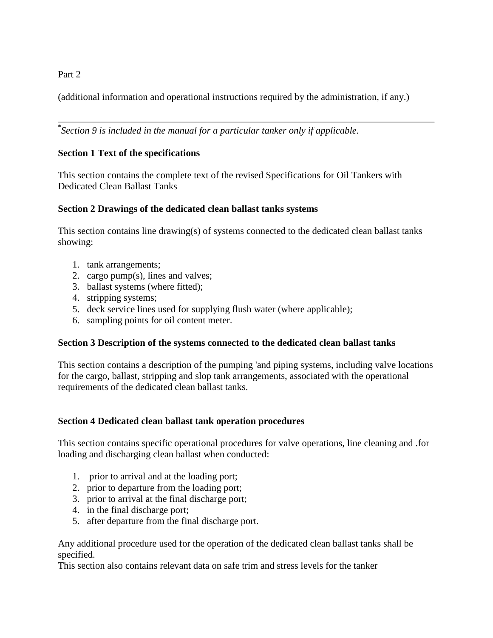### Part 2

(additional information and operational instructions required by the administration, if any.)

**\*** *Section 9 is included in the manual for a particular tanker only if applicable.* 

## **Section 1 Text of the specifications**

This section contains the complete text of the revised Specifications for Oil Tankers with Dedicated Clean Ballast Tanks

### **Section 2 Drawings of the dedicated clean ballast tanks systems**

This section contains line drawing(s) of systems connected to the dedicated clean ballast tanks showing:

- 1. tank arrangements;
- 2. cargo pump(s), lines and valves;
- 3. ballast systems (where fitted);
- 4. stripping systems;
- 5. deck service lines used for supplying flush water (where applicable);
- 6. sampling points for oil content meter.

### **Section 3 Description of the systems connected to the dedicated clean ballast tanks**

This section contains a description of the pumping 'and piping systems, including valve locations for the cargo, ballast, stripping and slop tank arrangements, associated with the operational requirements of the dedicated clean ballast tanks.

### **Section 4 Dedicated clean ballast tank operation procedures**

This section contains specific operational procedures for valve operations, line cleaning and .for loading and discharging clean ballast when conducted:

- 1. prior to arrival and at the loading port;
- 2. prior to departure from the loading port;
- 3. prior to arrival at the final discharge port;
- 4. in the final discharge port;
- 5. after departure from the final discharge port.

Any additional procedure used for the operation of the dedicated clean ballast tanks shall be specified.

This section also contains relevant data on safe trim and stress levels for the tanker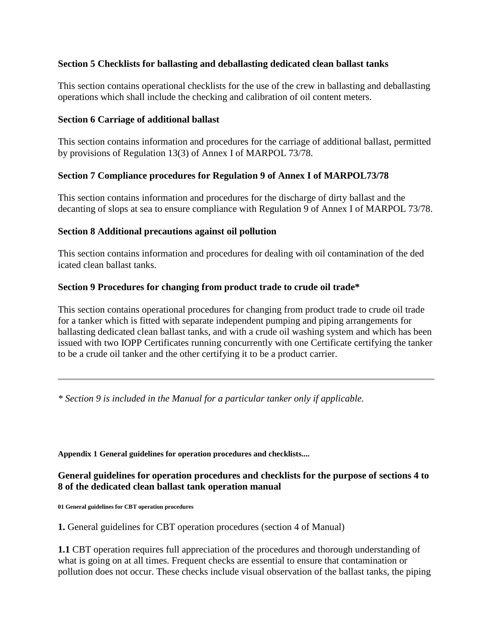#### **Section 5 Checklists for ballasting and deballasting dedicated clean ballast tanks**

This section contains operational checklists for the use of the crew in ballasting and deballasting operations which shall include the checking and calibration of oil content meters.

#### **Section 6 Carriage of additional ballast**

This section contains information and procedures for the carriage of additional ballast, permitted by provisions of Regulation 13(3) of Annex I of MARPOL 73/78.

#### **Section 7 Compliance procedures for Regulation 9 of Annex I of MARPOL73/78**

This section contains information and procedures for the discharge of dirty ballast and the decanting of slops at sea to ensure compliance with Regulation 9 of Annex I of MARPOL 73/78.

#### **Section 8 Additional precautions against oil pollution**

This section contains information and procedures for dealing with oil contamination of the ded icated clean ballast tanks.

#### **Section 9 Procedures for changing from product trade to crude oil trade\***

This section contains operational procedures for changing from product trade to crude oil trade for a tanker which is fitted with separate independent pumping and piping arrangements for ballasting dedicated clean ballast tanks, and with a crude oil washing system and which has been issued with two IOPP Certificates running concurrently with one Certificate certifying the tanker to be a crude oil tanker and the other certifying it to be a product carrier.

*\* Section 9 is included in the Manual for a particular tanker only if applicable.*

**Appendix 1 General guidelines for operation procedures and checklists....** 

#### **General guidelines for operation procedures and checklists for the purpose of sections 4 to 8 of the dedicated clean ballast tank operation manual**

**01 General guidelines for CBT operation procedures** 

**1.** General guidelines for CBT operation procedures (section 4 of Manual)

**1.1** CBT operation requires full appreciation of the procedures and thorough understanding of what is going on at all times. Frequent checks are essential to ensure that contamination or pollution does not occur. These checks include visual observation of the ballast tanks, the piping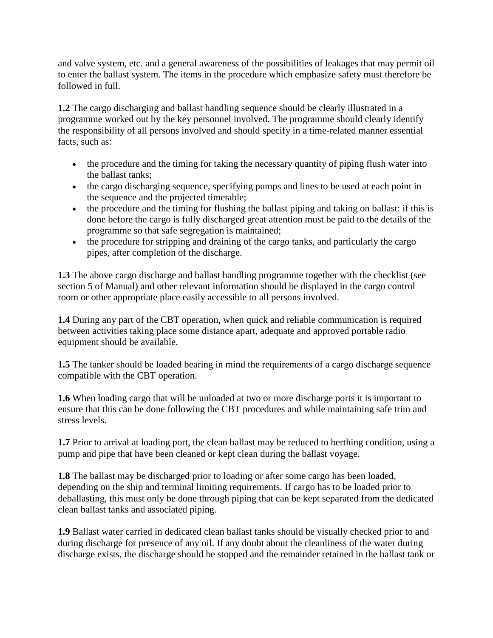and valve system, etc. and a general awareness of the possibilities of leakages that may permit oil to enter the ballast system. The items in the procedure which emphasize safety must therefore be followed in full.

**1.2** The cargo discharging and ballast handling sequence should be clearly illustrated in a programme worked out by the key personnel involved. The programme should clearly identify the responsibility of all persons involved and should specify in a time-related manner essential facts, such as:

- the procedure and the timing for taking the necessary quantity of piping flush water into the ballast tanks;
- the cargo discharging sequence, specifying pumps and lines to be used at each point in the sequence and the projected timetable;
- the procedure and the timing for flushing the ballast piping and taking on ballast: if this is done before the cargo is fully discharged great attention must be paid to the details of the programme so that safe segregation is maintained;
- the procedure for stripping and draining of the cargo tanks, and particularly the cargo pipes, after completion of the discharge.

**1.3** The above cargo discharge and ballast handling programme together with the checklist (see section 5 of Manual) and other relevant information should be displayed in the cargo control room or other appropriate place easily accessible to all persons involved.

**1.4** During any part of the CBT operation, when quick and reliable communication is required between activities taking place some distance apart, adequate and approved portable radio equipment should be available.

**1.5** The tanker should be loaded bearing in mind the requirements of a cargo discharge sequence compatible with the CBT operation.

**1.6** When loading cargo that will be unloaded at two or more discharge ports it is important to ensure that this can be done following the CBT procedures and while maintaining safe trim and stress levels.

**1.7** Prior to arrival at loading port, the clean ballast may be reduced to berthing condition, using a pump and pipe that have been cleaned or kept clean during the ballast voyage.

**1.8** The ballast may be discharged prior to loading or after some cargo has been loaded, depending on the ship and terminal limiting requirements. If cargo has to be loaded prior to deballasting, this must only be done through piping that can be kept separated from the dedicated clean ballast tanks and associated piping.

**1.9** Ballast water carried in dedicated clean ballast tanks should be visually checked prior to and during discharge for presence of any oil. If any doubt about the cleanliness of the water during discharge exists, the discharge should be stopped and the remainder retained in the ballast tank or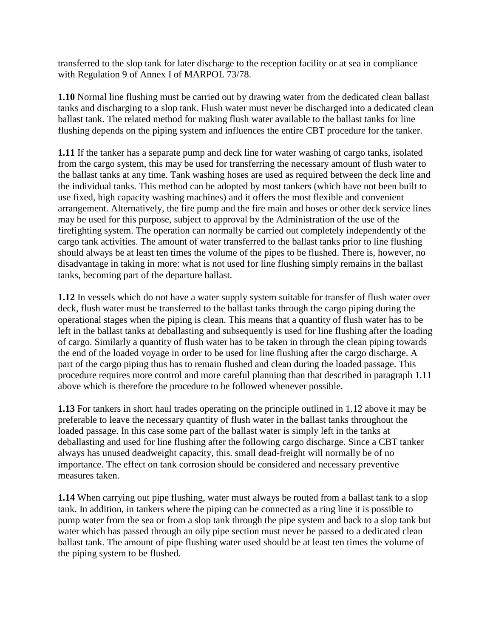transferred to the slop tank for later discharge to the reception facility or at sea in compliance with Regulation 9 of Annex I of MARPOL 73/78.

**1.10** Normal line flushing must be carried out by drawing water from the dedicated clean ballast tanks and discharging to a slop tank. Flush water must never be discharged into a dedicated clean ballast tank. The related method for making flush water available to the ballast tanks for line flushing depends on the piping system and influences the entire CBT procedure for the tanker.

**1.11** If the tanker has a separate pump and deck line for water washing of cargo tanks, isolated from the cargo system, this may be used for transferring the necessary amount of flush water to the ballast tanks at any time. Tank washing hoses are used as required between the deck line and the individual tanks. This method can be adopted by most tankers (which have not been built to use fixed, high capacity washing machines) and it offers the most flexible and convenient arrangement. Alternatively, the fire pump and the fire main and hoses or other deck service lines may be used for this purpose, subject to approval by the Administration of the use of the firefighting system. The operation can normally be carried out completely independently of the cargo tank activities. The amount of water transferred to the ballast tanks prior to line flushing should always be at least ten times the volume of the pipes to be flushed. There is, however, no disadvantage in taking in more: what is not used for line flushing simply remains in the ballast tanks, becoming part of the departure ballast.

**1.12** In vessels which do not have a water supply system suitable for transfer of flush water over deck, flush water must be transferred to the ballast tanks through the cargo piping during the operational stages when the piping is clean. This means that a quantity of flush water has to be left in the ballast tanks at deballasting and subsequently is used for line flushing after the loading of cargo. Similarly a quantity of flush water has to be taken in through the clean piping towards the end of the loaded voyage in order to be used for line flushing after the cargo discharge. A part of the cargo piping thus has to remain flushed and clean during the loaded passage. This procedure requires more control and more careful planning than that described in paragraph 1.11 above which is therefore the procedure to be followed whenever possible.

**1.13** For tankers in short haul trades operating on the principle outlined in 1.12 above it may be preferable to leave the necessary quantity of flush water in the ballast tanks throughout the loaded passage. In this case some part of the ballast water is simply left in the tanks at deballasting and used for line flushing after the following cargo discharge. Since a CBT tanker always has unused deadweight capacity, this. small dead-freight will normally be of no importance. The effect on tank corrosion should be considered and necessary preventive measures taken.

**1.14** When carrying out pipe flushing, water must always be routed from a ballast tank to a slop tank. In addition, in tankers where the piping can be connected as a ring line it is possible to pump water from the sea or from a slop tank through the pipe system and back to a slop tank but water which has passed through an oily pipe section must never be passed to a dedicated clean ballast tank. The amount of pipe flushing water used should be at least ten times the volume of the piping system to be flushed.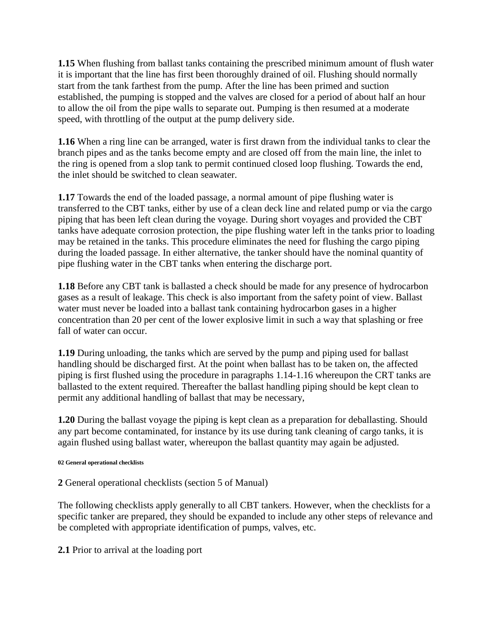**1.15** When flushing from ballast tanks containing the prescribed minimum amount of flush water it is important that the line has first been thoroughly drained of oil. Flushing should normally start from the tank farthest from the pump. After the line has been primed and suction established, the pumping is stopped and the valves are closed for a period of about half an hour to allow the oil from the pipe walls to separate out. Pumping is then resumed at a moderate speed, with throttling of the output at the pump delivery side.

**1.16** When a ring line can be arranged, water is first drawn from the individual tanks to clear the branch pipes and as the tanks become empty and are closed off from the main line, the inlet to the ring is opened from a slop tank to permit continued closed loop flushing. Towards the end, the inlet should be switched to clean seawater.

**1.17** Towards the end of the loaded passage, a normal amount of pipe flushing water is transferred to the CBT tanks, either by use of a clean deck line and related pump or via the cargo piping that has been left clean during the voyage. During short voyages and provided the CBT tanks have adequate corrosion protection, the pipe flushing water left in the tanks prior to loading may be retained in the tanks. This procedure eliminates the need for flushing the cargo piping during the loaded passage. In either alternative, the tanker should have the nominal quantity of pipe flushing water in the CBT tanks when entering the discharge port.

**1.18** Before any CBT tank is ballasted a check should be made for any presence of hydrocarbon gases as a result of leakage. This check is also important from the safety point of view. Ballast water must never be loaded into a ballast tank containing hydrocarbon gases in a higher concentration than 20 per cent of the lower explosive limit in such a way that splashing or free fall of water can occur.

**1.19** During unloading, the tanks which are served by the pump and piping used for ballast handling should be discharged first. At the point when ballast has to be taken on, the affected piping is first flushed using the procedure in paragraphs 1.14-1.16 whereupon the CRT tanks are ballasted to the extent required. Thereafter the ballast handling piping should be kept clean to permit any additional handling of ballast that may be necessary,

**1.20** During the ballast voyage the piping is kept clean as a preparation for deballasting. Should any part become contaminated, for instance by its use during tank cleaning of cargo tanks, it is again flushed using ballast water, whereupon the ballast quantity may again be adjusted.

#### **02 General operational checklists**

**2** General operational checklists (section 5 of Manual)

The following checklists apply generally to all CBT tankers. However, when the checklists for a specific tanker are prepared, they should be expanded to include any other steps of relevance and be completed with appropriate identification of pumps, valves, etc.

**2.1** Prior to arrival at the loading port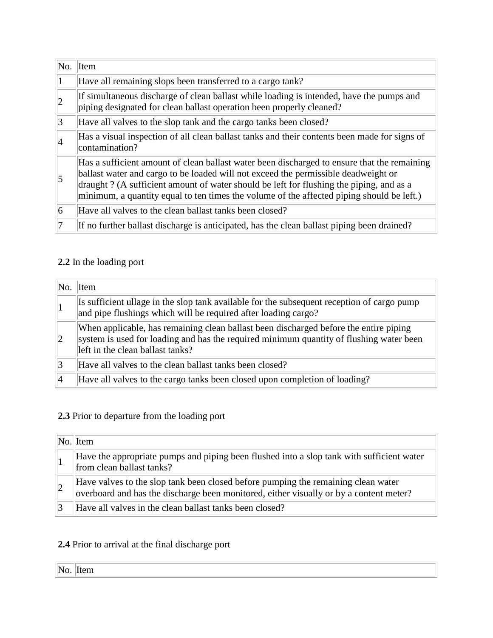| No.             | Item                                                                                                                                                                                                                                                                                                                                                                      |
|-----------------|---------------------------------------------------------------------------------------------------------------------------------------------------------------------------------------------------------------------------------------------------------------------------------------------------------------------------------------------------------------------------|
| 1               | Have all remaining slops been transferred to a cargo tank?                                                                                                                                                                                                                                                                                                                |
| $ 2\rangle$     | If simultaneous discharge of clean ballast while loading is intended, have the pumps and<br>piping designated for clean ballast operation been properly cleaned?                                                                                                                                                                                                          |
| 3               | Have all valves to the slop tank and the cargo tanks been closed?                                                                                                                                                                                                                                                                                                         |
| 4               | Has a visual inspection of all clean ballast tanks and their contents been made for signs of<br>contamination?                                                                                                                                                                                                                                                            |
| 5               | Has a sufficient amount of clean ballast water been discharged to ensure that the remaining<br>ballast water and cargo to be loaded will not exceed the permissible deadweight or<br>draught? (A sufficient amount of water should be left for flushing the piping, and as a<br>minimum, a quantity equal to ten times the volume of the affected piping should be left.) |
| $\vert 6 \vert$ | Have all valves to the clean ballast tanks been closed?                                                                                                                                                                                                                                                                                                                   |
|                 | If no further ballast discharge is anticipated, has the clean ballast piping been drained?                                                                                                                                                                                                                                                                                |

## **2.2** In the loading port

|                | $\overline{\text{No.}}$ Item                                                                                                                                                                                         |
|----------------|----------------------------------------------------------------------------------------------------------------------------------------------------------------------------------------------------------------------|
|                | Is sufficient ullage in the slop tank available for the subsequent reception of cargo pump<br>and pipe flushings which will be required after loading cargo?                                                         |
| $\overline{2}$ | When applicable, has remaining clean ballast been discharged before the entire piping<br>system is used for loading and has the required minimum quantity of flushing water been<br>left in the clean ballast tanks? |
| 3              | Have all valves to the clean ballast tanks been closed?                                                                                                                                                              |
|                | Have all valves to the cargo tanks been closed upon completion of loading?                                                                                                                                           |

# **2.3** Prior to departure from the loading port

| $\vert$ No. Item                                                                                                                                                            |
|-----------------------------------------------------------------------------------------------------------------------------------------------------------------------------|
| Have the appropriate pumps and piping been flushed into a slop tank with sufficient water<br>from clean ballast tanks?                                                      |
| Have valves to the slop tank been closed before pumping the remaining clean water<br>overboard and has the discharge been monitored, either visually or by a content meter? |
| Have all valves in the clean ballast tanks been closed?                                                                                                                     |

## **2.4** Prior to arrival at the final discharge port

<u> 1980 - Johann Barn, amerikan besteman besteman besteman besteman besteman besteman besteman besteman bestema</u>

| No. Item |  |
|----------|--|
|----------|--|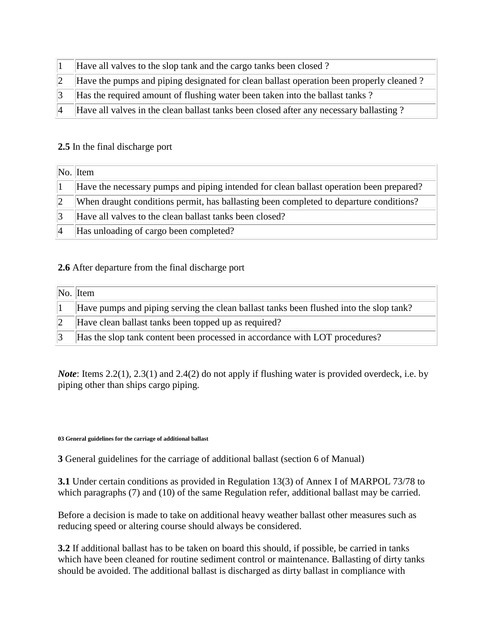| Have all valves to the slop tank and the cargo tanks been closed?                       |
|-----------------------------------------------------------------------------------------|
| Have the pumps and piping designated for clean ballast operation been properly cleaned? |
| Has the required amount of flushing water been taken into the ballast tanks?            |
| Have all valves in the clean ballast tanks been closed after any necessary ballasting?  |

#### **2.5** In the final discharge port

|             | $\ No.\ $ Item                                                                          |
|-------------|-----------------------------------------------------------------------------------------|
|             | Have the necessary pumps and piping intended for clean ballast operation been prepared? |
| $ 2\rangle$ | When draught conditions permit, has ballasting been completed to departure conditions?  |
| 13          | Have all valves to the clean ballast tanks been closed?                                 |
| $ 4\rangle$ | Has unloading of cargo been completed?                                                  |

#### **2.6** After departure from the final discharge port

| $\ No. \ $ Item                                                                        |
|----------------------------------------------------------------------------------------|
| Have pumps and piping serving the clean ballast tanks been flushed into the slop tank? |
| Have clean ballast tanks been topped up as required?                                   |
| Has the slop tank content been processed in accordance with LOT procedures?            |

*Note*: Items 2.2(1), 2.3(1) and 2.4(2) do not apply if flushing water is provided overdeck, i.e. by piping other than ships cargo piping.

#### **03 General guidelines for the carriage of additional ballast**

**3** General guidelines for the carriage of additional ballast (section 6 of Manual)

**3.1** Under certain conditions as provided in Regulation 13(3) of Annex I of MARPOL 73/78 to which paragraphs (7) and (10) of the same Regulation refer, additional ballast may be carried.

Before a decision is made to take on additional heavy weather ballast other measures such as reducing speed or altering course should always be considered.

**3.2** If additional ballast has to be taken on board this should, if possible, be carried in tanks which have been cleaned for routine sediment control or maintenance. Ballasting of dirty tanks should be avoided. The additional ballast is discharged as dirty ballast in compliance with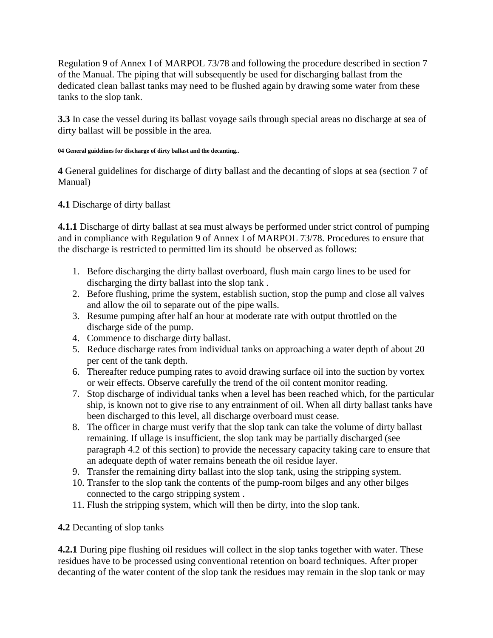Regulation 9 of Annex I of MARPOL 73/78 and following the procedure described in section 7 of the Manual. The piping that will subsequently be used for discharging ballast from the dedicated clean ballast tanks may need to be flushed again by drawing some water from these tanks to the slop tank.

**3.3** In case the vessel during its ballast voyage sails through special areas no discharge at sea of dirty ballast will be possible in the area.

#### **04 General guidelines for discharge of dirty ballast and the decanting..**

**4** General guidelines for discharge of dirty ballast and the decanting of slops at sea (section 7 of Manual)

### **4.1** Discharge of dirty ballast

**4.1.1** Discharge of dirty ballast at sea must always be performed under strict control of pumping and in compliance with Regulation 9 of Annex I of MARPOL 73/78. Procedures to ensure that the discharge is restricted to permitted lim its shouId be observed as follows:

- 1. Before discharging the dirty ballast overboard, flush main cargo lines to be used for discharging the dirty ballast into the slop tank .
- 2. Before flushing, prime the system, establish suction, stop the pump and close all valves and allow the oil to separate out of the pipe walls.
- 3. Resume pumping after half an hour at moderate rate with output throttled on the discharge side of the pump.
- 4. Commence to discharge dirty ballast.
- 5. Reduce discharge rates from individual tanks on approaching a water depth of about 20 per cent of the tank depth.
- 6. Thereafter reduce pumping rates to avoid drawing surface oil into the suction by vortex or weir effects. Observe carefully the trend of the oil content monitor reading.
- 7. Stop discharge of individual tanks when a level has been reached which, for the particular ship, is known not to give rise to any entrainment of oil. When all dirty ballast tanks have been discharged to this level, all discharge overboard must cease.
- 8. The officer in charge must verify that the slop tank can take the volume of dirty ballast remaining. If ullage is insufficient, the slop tank may be partially discharged (see paragraph 4.2 of this section) to provide the necessary capacity taking care to ensure that an adequate depth of water remains beneath the oil residue layer.
- 9. Transfer the remaining dirty ballast into the slop tank, using the stripping system.
- 10. Transfer to the slop tank the contents of the pump-room bilges and any other bilges connected to the cargo stripping system .
- 11. Flush the stripping system, which will then be dirty, into the slop tank.

**4.2** Decanting of slop tanks

**4.2.1** During pipe flushing oil residues will collect in the slop tanks together with water. These residues have to be processed using conventional retention on board techniques. After proper decanting of the water content of the slop tank the residues may remain in the slop tank or may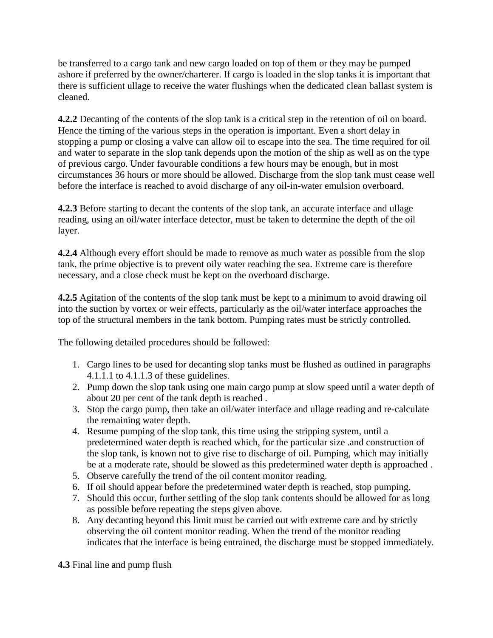be transferred to a cargo tank and new cargo loaded on top of them or they may be pumped ashore if preferred by the owner/charterer. If cargo is loaded in the slop tanks it is important that there is sufficient ullage to receive the water flushings when the dedicated clean ballast system is cleaned.

**4.2.2** Decanting of the contents of the slop tank is a critical step in the retention of oil on board. Hence the timing of the various steps in the operation is important. Even a short delay in stopping a pump or closing a valve can allow oil to escape into the sea. The time required for oil and water to separate in the slop tank depends upon the motion of the ship as well as on the type of previous cargo. Under favourable conditions a few hours may be enough, but in most circumstances 36 hours or more should be allowed. Discharge from the slop tank must cease well before the interface is reached to avoid discharge of any oil-in-water emulsion overboard.

**4.2.3** Before starting to decant the contents of the slop tank, an accurate interface and ullage reading, using an oil/water interface detector, must be taken to determine the depth of the oil layer.

**4.2.4** Although every effort should be made to remove as much water as possible from the slop tank, the prime objective is to prevent oily water reaching the sea. Extreme care is therefore necessary, and a close check must be kept on the overboard discharge.

**4.2.5** Agitation of the contents of the slop tank must be kept to a minimum to avoid drawing oil into the suction by vortex or weir effects, particularly as the oil/water interface approaches the top of the structural members in the tank bottom. Pumping rates must be strictly controlled.

The following detailed procedures should be followed:

- 1. Cargo lines to be used for decanting slop tanks must be flushed as outlined in paragraphs 4.1.1.1 to 4.1.1.3 of these guidelines.
- 2. Pump down the slop tank using one main cargo pump at slow speed until a water depth of about 20 per cent of the tank depth is reached .
- 3. Stop the cargo pump, then take an oil/water interface and ullage reading and re-calculate the remaining water depth.
- 4. Resume pumping of the slop tank, this time using the stripping system, until a predetermined water depth is reached which, for the particular size .and construction of the slop tank, is known not to give rise to discharge of oil. Pumping, which may initially be at a moderate rate, should be slowed as this predetermined water depth is approached .
- 5. Observe carefully the trend of the oil content monitor reading.
- 6. If oil should appear before the predetermined water depth is reached, stop pumping.
- 7. Should this occur, further settling of the slop tank contents should be allowed for as long as possible before repeating the steps given above.
- 8. Any decanting beyond this limit must be carried out with extreme care and by strictly observing the oil content monitor reading. When the trend of the monitor reading indicates that the interface is being entrained, the discharge must be stopped immediately.

**4.3** Final line and pump flush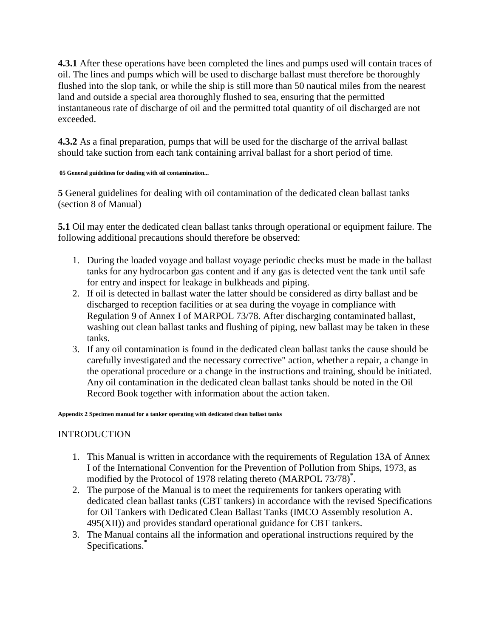**4.3.1** After these operations have been completed the lines and pumps used will contain traces of oil. The lines and pumps which will be used to discharge ballast must therefore be thoroughly flushed into the slop tank, or while the ship is still more than 50 nautical miles from the nearest land and outside a special area thoroughly flushed to sea, ensuring that the permitted instantaneous rate of discharge of oil and the permitted total quantity of oil discharged are not exceeded.

**4.3.2** As a final preparation, pumps that will be used for the discharge of the arrival ballast should take suction from each tank containing arrival ballast for a short period of time.

#### **05 General guidelines for dealing with oil contamination...**

**5** General guidelines for dealing with oil contamination of the dedicated clean ballast tanks (section 8 of Manual)

**5.1** Oil may enter the dedicated clean ballast tanks through operational or equipment failure. The following additional precautions should therefore be observed:

- 1. During the loaded voyage and ballast voyage periodic checks must be made in the ballast tanks for any hydrocarbon gas content and if any gas is detected vent the tank until safe for entry and inspect for leakage in bulkheads and piping.
- 2. If oil is detected in ballast water the latter should be considered as dirty ballast and be discharged to reception facilities or at sea during the voyage in compliance with Regulation 9 of Annex I of MARPOL 73/78. After discharging contaminated ballast, washing out clean ballast tanks and flushing of piping, new ballast may be taken in these tanks.
- 3. If any oil contamination is found in the dedicated clean ballast tanks the cause should be carefully investigated and the necessary corrective" action, whether a repair, a change in the operational procedure or a change in the instructions and training, should be initiated. Any oil contamination in the dedicated clean ballast tanks should be noted in the Oil Record Book together with information about the action taken.

#### **Appendix 2 Specimen manual for a tanker operating with dedicated clean ballast tanks**

## INTRODUCTION

- 1. This Manual is written in accordance with the requirements of Regulation 13A of Annex I of the International Convention for the Prevention of Pollution from Ships, 1973, as modified by the Protocol of 1978 relating thereto (MARPOL 73/78)<sup>\*</sup>.
- 2. The purpose of the Manual is to meet the requirements for tankers operating with dedicated clean ballast tanks (CBT tankers) in accordance with the revised Specifications for Oil Tankers with Dedicated Clean Ballast Tanks (IMCO Assembly resolution A. 495(XII)) and provides standard operational guidance for CBT tankers.
- 3. The Manual contains all the information and operational instructions required by the Specifications.**\***